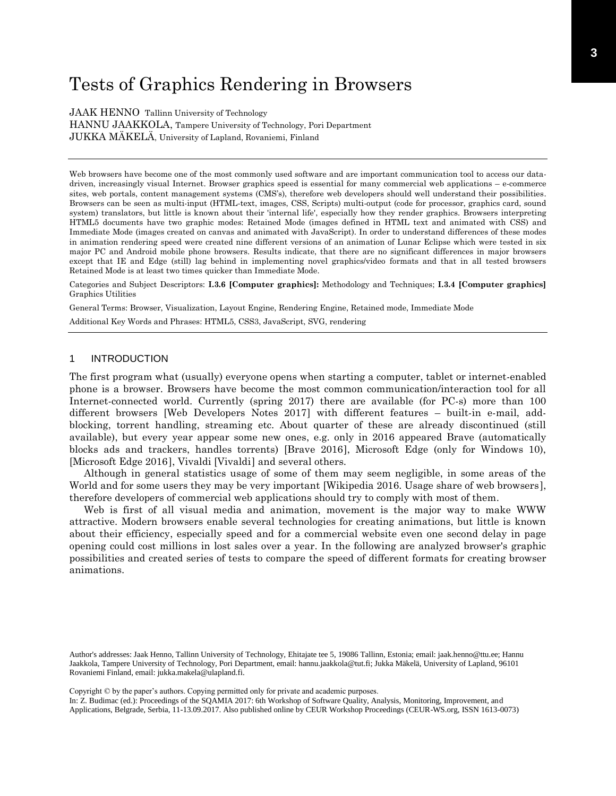# Tests of Graphics Rendering in Browsers

JAAK HENNO Tallinn University of Technology HANNU JAAKKOLA, Tampere University of Technology, Pori Department JUKKA MÄKELÄ, University of Lapland, Rovaniemi, Finland

Web browsers have become one of the most commonly used software and are important communication tool to access our datadriven, increasingly visual Internet. Browser graphics speed is essential for many commercial web applications – e-commerce sites, web portals, content management systems (CMS's), therefore web developers should well understand their possibilities. Browsers can be seen as multi-input (HTML-text, images, CSS, Scripts) multi-output (code for processor, graphics card, sound system) translators, but little is known about their 'internal life', especially how they render graphics. Browsers interpreting HTML5 documents have two graphic modes: Retained Mode (images defined in HTML text and animated with CSS) and Immediate Mode (images created on canvas and animated with JavaScript). In order to understand differences of these modes in animation rendering speed were created nine different versions of an animation of Lunar Eclipse which were tested in six major PC and Android mobile phone browsers. Results indicate, that there are no significant differences in major browsers except that IE and Edge (still) lag behind in implementing novel graphics/video formats and that in all tested browsers Retained Mode is at least two times quicker than Immediate Mode.

Categories and Subject Descriptors: **I.3.6 [Computer graphics]:** Methodology and Techniques; **I.3.4 [Computer graphics]**  Graphics Utilities

General Terms: Browser, Visualization, Layout Engine, Rendering Engine, Retained mode, Immediate Mode

Additional Key Words and Phrases: HTML5, CSS3, JavaScript, SVG, rendering

## 1 INTRODUCTION

The first program what (usually) everyone opens when starting a computer, tablet or internet-enabled phone is a browser. Browsers have become the most common communication/interaction tool for all Internet-connected world. Currently (spring 2017) there are available (for PC-s) more than 100 different browsers [Web Developers Notes 2017] with different features – built-in e-mail, addblocking, torrent handling, streaming etc. About quarter of these are already discontinued (still available), but every year appear some new ones, e.g. only in 2016 appeared Brave (automatically blocks ads and trackers, handles torrents) [Brave 2016], Microsoft Edge (only for Windows 10), [Microsoft Edge 2016], Vivaldi [Vivaldi] and several others.

Although in general statistics usage of some of them may seem negligible, in some areas of the World and for some users they may be very important [Wikipedia 2016. Usage share of web browsers], therefore developers of commercial web applications should try to comply with most of them.

Web is first of all visual media and animation, movement is the major way to make WWW attractive. Modern browsers enable several technologies for creating animations, but little is known about their efficiency, especially speed and for a commercial website even one second delay in page opening could cost millions in lost sales over a year. In the following are analyzed browser's graphic possibilities and created series of tests to compare the speed of different formats for creating browser animations.

Author's addresses: Jaak Henno, Tallinn University of Technology, Ehitajate tee 5, 19086 Tallinn, Estonia; email: jaak.henno@ttu.ee; Hannu Jaakkola, Tampere University of Technology, Pori Department, email: hannu.jaakkola@tut.fi; Jukka Mäkelä, University of Lapland, 96101 Rovaniemi Finland, email: jukka.makela@ulapland.fi.

Copyright © by the paper's authors. Copying permitted only for private and academic purposes.

In: Z. Budimac (ed.): Proceedings of the SQAMIA 2017: 6th Workshop of Software Quality, Analysis, Monitoring, Improvement, and Applications, Belgrade, Serbia, 11-13.09.2017. Also published online by CEUR Workshop Proceedings (CEUR-WS.org, ISSN 1613-0073)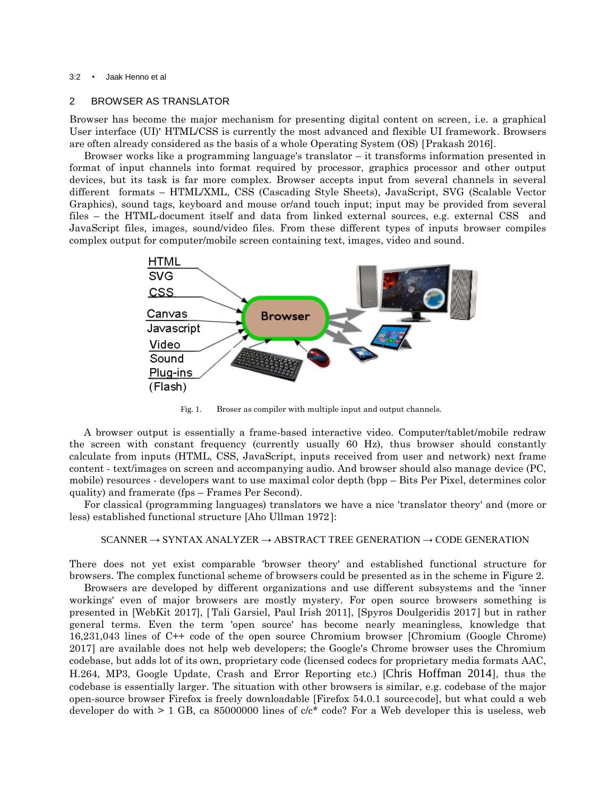#### 3:2 • Jaak Henno et al

## 2 BROWSER AS TRANSLATOR

Browser has become the major mechanism for presenting digital content on screen, i.e. a graphical User interface (UI)' HTML/CSS is currently the most advanced and flexible UI framework. Browsers are often already considered as the basis of a whole Operating System (OS) [Prakash 2016].

Browser works like a programming language's translator – it transforms information presented in format of input channels into format required by processor, graphics processor and other output devices, but its task is far more complex. Browser accepts input from several channels in several different formats – HTML/XML, CSS (Cascading Style Sheets), JavaScript, SVG (Scalable Vector Graphics), sound tags, keyboard and mouse or/and touch input; input may be provided from several files – the HTML-document itself and data from linked external sources, e.g. external CSS and JavaScript files, images, sound/video files. From these different types of inputs browser compiles complex output for computer/mobile screen containing text, images, video and sound.



Fig. 1. Broser as compiler with multiple input and output channels.

A browser output is essentially a frame-based interactive video. Computer/tablet/mobile redraw the screen with constant frequency (currently usually 60 Hz), thus browser should constantly calculate from inputs (HTML, CSS, JavaScript, inputs received from user and network) next frame content - text/images on screen and accompanying audio. And browser should also manage device (PC, mobile) resources - developers want to use maximal color depth (bpp – Bits Per Pixel, determines color quality) and framerate (fps – Frames Per Second).

For classical (programming languages) translators we have a nice 'translator theory' and (more or less) established functional structure [Aho Ullman 1972]:

## $SCANNER \rightarrow SYNTAX ANALYZER \rightarrow ABSTRACT TREE GENERATION \rightarrow CODE GENERATION$

There does not yet exist comparable 'browser theory' and established functional structure for browsers. The complex functional scheme of browsers could be presented as in the scheme in Figure 2.

Browsers are developed by different organizations and use different subsystems and the 'inner workings' even of major browsers are mostly mystery. For open source browsers something is presented in [WebKit 2017], [Tali Garsiel, Paul Irish 2011], [Spyros Doulgeridis 2017] but in rather general terms. Even the term 'open source' has become nearly meaningless, knowledge that 16,231,043 lines of C++ code of the open source Chromium browser [Chromium (Google Chrome) 2017) are available does not help web developers; the Google's Chrome browser uses the Chromium codebase, but adds lot of its own, proprietary code (licensed codecs for proprietary media formats AAC, H.264, MP3, Google Update, Crash and Error Reporting etc.) [Chris Hoffman 2014], thus the codebase is essentially larger. The situation with other browsers is similar, e.g. codebase of the major open-source browser Firefox is freely downloadable [Firefox  $54.0.1$  source code], but what could a web developer do with  $> 1$  GB, ca 85000000 lines of  $c/c^*$  code? For a Web developer this is useless, web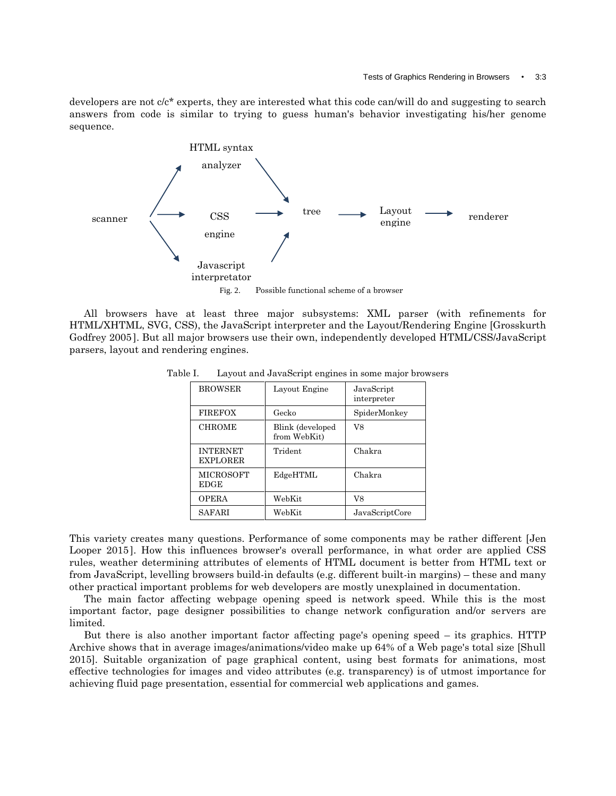developers are not c/c\* experts, they are interested what this code can/will do and suggesting to search answers from code is similar to trying to guess human's behavior investigating his/her genome sequence.



All browsers have at least three major subsystems: XML parser (with refinements for HTML/XHTML, SVG, CSS), the JavaScript interpreter and the Layout/Rendering Engine [Grosskurth Godfrey 2005]. But all major browsers use their own, independently developed HTML/CSS/JavaScript parsers, layout and rendering engines.

| <b>BROWSER</b>                     | Layout Engine                    | JavaScript<br>interpreter |
|------------------------------------|----------------------------------|---------------------------|
| <b>FIREFOX</b>                     | Gecko                            | SpiderMonkey              |
| <b>CHROME</b>                      | Blink (developed<br>from WebKit) | V8                        |
| <b>INTERNET</b><br><b>EXPLORER</b> | Trident                          | Chakra                    |
| <b>MICROSOFT</b><br><b>EDGE</b>    | EdgeHTML                         | Chakra                    |
| <b>OPERA</b>                       | WebKit                           | V8                        |
| SAFARI                             | WebKit                           | JavaScriptCore            |

Table I. Layout and JavaScript engines in some major browsers

This variety creates many questions. Performance of some components may be rather different [Jen Looper 2015]. How this influences browser's overall performance, in what order are applied CSS rules, weather determining attributes of elements of HTML document is better from HTML text or from JavaScript, levelling browsers build-in defaults (e.g. different built-in margins) – these and many other practical important problems for web developers are mostly unexplained in documentation.

The main factor affecting webpage opening speed is network speed. While this is the most important factor, page designer possibilities to change network configuration and/or servers are limited.

But there is also another important factor affecting page's opening speed – its graphics. HTTP Archive shows that in average images/animations/video make up 64% of a Web page's total size [Shull 2015]. Suitable organization of page graphical content, using best formats for animations, most effective technologies for images and video attributes (e.g. transparency) is of utmost importance for achieving fluid page presentation, essential for commercial web applications and games.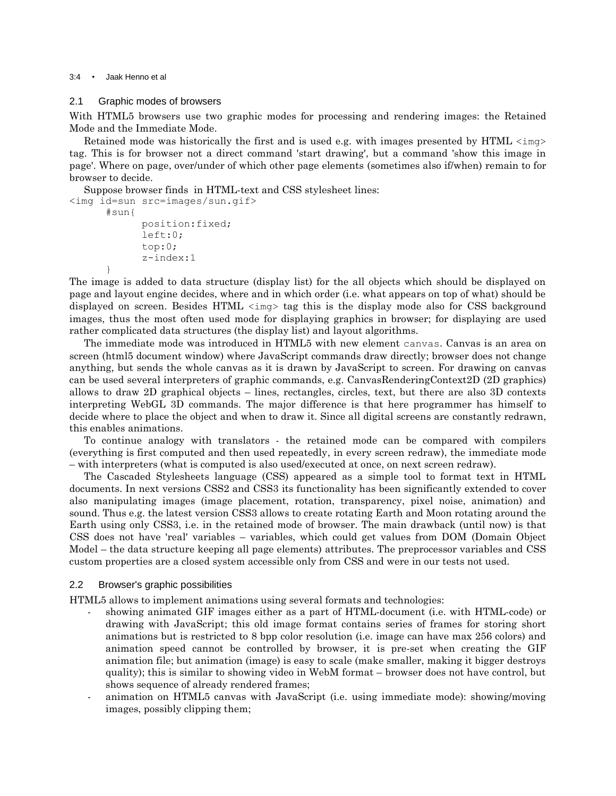#### 3:4 • Jaak Henno et al

}

## 2.1 Graphic modes of browsers

With HTML5 browsers use two graphic modes for processing and rendering images: the Retained Mode and the Immediate Mode.

Retained mode was historically the first and is used e.g. with images presented by HTML  $\langle \text{img}\rangle$ tag. This is for browser not a direct command 'start drawing', but a command 'show this image in page'. Where on page, over/under of which other page elements (sometimes also if/when) remain to for browser to decide.

Suppose browser finds in HTML-text and CSS stylesheet lines: <img id=sun src=images/sun.gif> #sun{ position:fixed;

```
left:0;
top:0;
z-index:1
```
The image is added to data structure (display list) for the all objects which should be displayed on page and layout engine decides, where and in which order (i.e. what appears on top of what) should be displayed on screen. Besides HTML  $\langle \text{img} \rangle$  tag this is the display mode also for CSS background images, thus the most often used mode for displaying graphics in browser; for displaying are used rather complicated data structures (the display list) and layout algorithms.

The immediate mode was introduced in HTML5 with new element canvas. Canvas is an area on screen (html5 document window) where JavaScript commands draw directly; browser does not change anything, but sends the whole canvas as it is drawn by JavaScript to screen. For drawing on canvas can be used several interpreters of graphic commands, e.g. CanvasRenderingContext2D (2D graphics) allows to draw 2D graphical objects – lines, rectangles, circles, text, but there are also 3D contexts interpreting WebGL 3D commands. The major difference is that here programmer has himself to decide where to place the object and when to draw it. Since all digital screens are constantly redrawn, this enables animations.

To continue analogy with translators - the retained mode can be compared with compilers (everything is first computed and then used repeatedly, in every screen redraw), the immediate mode – with interpreters (what is computed is also used/executed at once, on next screen redraw).

The Cascaded Stylesheets language (CSS) appeared as a simple tool to format text in HTML documents. In next versions CSS2 and CSS3 its functionality has been significantly extended to cover also manipulating images (image placement, rotation, transparency, pixel noise, animation) and sound. Thus e.g. the latest version CSS3 allows to create rotating Earth and Moon rotating around the Earth using only CSS3, i.e. in the retained mode of browser. The main drawback (until now) is that CSS does not have 'real' variables – variables, which could get values from DOM (Domain Object Model – the data structure keeping all page elements) attributes. The preprocessor variables and CSS custom properties are a closed system accessible only from CSS and were in our tests not used.

## 2.2 Browser's graphic possibilities

HTML5 allows to implement animations using several formats and technologies:

- showing animated GIF images either as a part of HTML-document (i.e. with HTML-code) or drawing with JavaScript; this old image format contains series of frames for storing short animations but is restricted to 8 bpp color resolution (i.e. image can have max 256 colors) and animation speed cannot be controlled by browser, it is pre-set when creating the GIF animation file; but animation (image) is easy to scale (make smaller, making it bigger destroys quality); this is similar to showing video in WebM format – browser does not have control, but shows sequence of already rendered frames;
- animation on HTML5 canvas with JavaScript (i.e. using immediate mode): showing/moving images, possibly clipping them;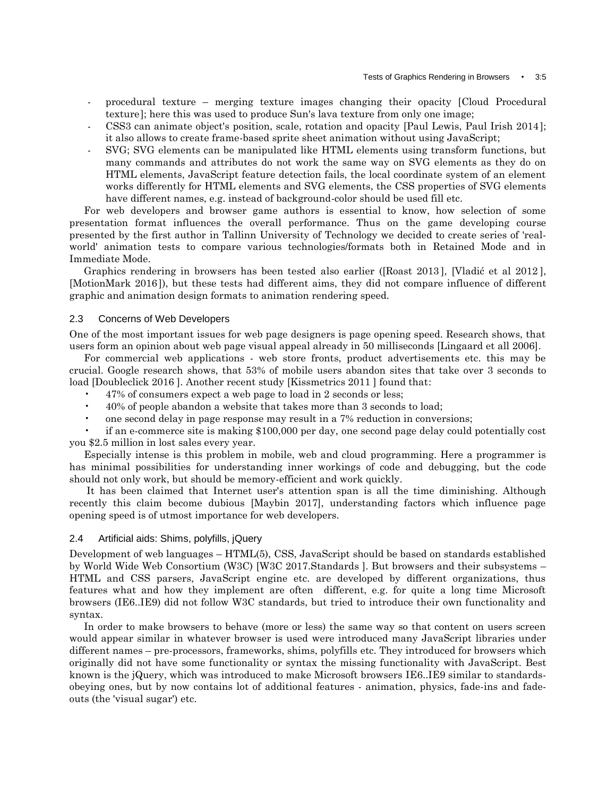- procedural texture merging texture images changing their opacity [Cloud Procedural texture]; here this was used to produce Sun's lava texture from only one image;
- CSS3 can animate object's position, scale, rotation and opacity [Paul Lewis, Paul Irish 2014]; it also allows to create frame-based sprite sheet animation without using JavaScript;
- SVG; SVG elements can be manipulated like HTML elements using transform functions, but many commands and attributes do not work the same way on SVG elements as they do on HTML elements, JavaScript feature detection fails, the local coordinate system of an element works differently for HTML elements and SVG elements, the CSS properties of SVG elements have different names, e.g. instead of background-color should be used fill etc.

For web developers and browser game authors is essential to know, how selection of some presentation format influences the overall performance. Thus on the game developing course presented by the first author in Tallinn University of Technology we decided to create series of 'realworld' animation tests to compare various technologies/formats both in Retained Mode and in Immediate Mode.

Graphics rendering in browsers has been tested also earlier ([Roast 2013], [Vladić et al 2012], [MotionMark 2016]), but these tests had different aims, they did not compare influence of different graphic and animation design formats to animation rendering speed.

## 2.3 Concerns of Web Developers

One of the most important issues for web page designers is page opening speed. Research shows, that users form an opinion about web page visual appeal already in 50 milliseconds [Lingaard et all 2006].

For commercial web applications - web store fronts, product advertisements etc. this may be crucial. Google research shows, that 53% of mobile users abandon sites that take over 3 seconds to load [Doubleclick 2016 ]. Another recent study [Kissmetrics 2011 ] found that:

- 47% of consumers expect a web page to load in 2 seconds or less;
- 40% of people abandon a website that takes more than 3 seconds to load;
- one second delay in page response may result in a 7% reduction in conversions;

• if an e-commerce site is making \$100,000 per day, one second page delay could potentially cost you \$2.5 million in lost sales every year.

Especially intense is this problem in mobile, web and cloud programming. Here a programmer is has minimal possibilities for understanding inner workings of code and debugging, but the code should not only work, but should be memory-efficient and work quickly.

It has been claimed that Internet user's attention span is all the time diminishing. Although recently this claim become dubious [Maybin 2017], understanding factors which influence page opening speed is of utmost importance for web developers.

## 2.4 Artificial aids: Shims, polyfills, jQuery

Development of web languages – HTML(5), CSS, JavaScript should be based on standards established by World Wide Web Consortium (W3C) [W3C 2017.Standards ]. But browsers and their subsystems – HTML and CSS parsers, JavaScript engine etc. are developed by different organizations, thus features what and how they implement are often different, e.g. for quite a long time Microsoft browsers (IE6..IE9) did not follow W3C standards, but tried to introduce their own functionality and syntax.

In order to make browsers to behave (more or less) the same way so that content on users screen would appear similar in whatever browser is used were introduced many JavaScript libraries under different names – pre-processors, frameworks, shims, polyfills etc. They introduced for browsers which originally did not have some functionality or syntax the missing functionality with JavaScript. Best known is the jQuery, which was introduced to make Microsoft browsers IE6..IE9 similar to standardsobeying ones, but by now contains lot of additional features - animation, physics, fade-ins and fadeouts (the 'visual sugar') etc.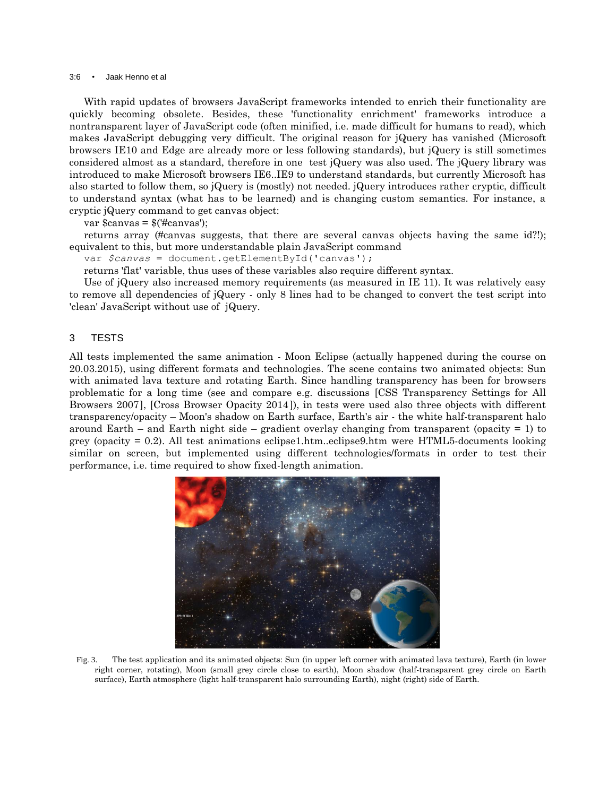#### 3:6 • Jaak Henno et al

With rapid updates of browsers JavaScript frameworks intended to enrich their functionality are quickly becoming obsolete. Besides, these 'functionality enrichment' frameworks introduce a nontransparent layer of JavaScript code (often minified, i.e. made difficult for humans to read), which makes JavaScript debugging very difficult. The original reason for jQuery has vanished (Microsoft browsers IE10 and Edge are already more or less following standards), but jQuery is still sometimes considered almost as a standard, therefore in one test jQuery was also used. The jQuery library was introduced to make Microsoft browsers IE6..IE9 to understand standards, but currently Microsoft has also started to follow them, so jQuery is (mostly) not needed. jQuery introduces rather cryptic, difficult to understand syntax (what has to be learned) and is changing custom semantics. For instance, a cryptic jQuery command to get canvas object:

var  $s$ canvas =  $\frac{s}{\text{max}}$ ):

returns array (#canvas suggests, that there are several canvas objects having the same id?!); equivalent to this, but more understandable plain JavaScript command

var *\$canvas* = document.getElementById('canvas');

returns 'flat' variable, thus uses of these variables also require different syntax.

Use of jQuery also increased memory requirements (as measured in IE 11). It was relatively easy to remove all dependencies of jQuery - only 8 lines had to be changed to convert the test script into 'clean' JavaScript without use of jQuery.

## 3 TESTS

All tests implemented the same animation - Moon Eclipse (actually happened during the course on 20.03.2015), using different formats and technologies. The scene contains two animated objects: Sun with animated lava texture and rotating Earth. Since handling transparency has been for browsers problematic for a long time (see and compare e.g. discussions [CSS Transparency Settings for All Browsers 2007], [Cross Browser Opacity 2014]), in tests were used also three objects with different transparency/opacity – Moon's shadow on Earth surface, Earth's air - the white half-transparent halo around Earth – and Earth night side – gradient overlay changing from transparent (opacity  $= 1$ ) to grey (opacity = 0.2). All test animations eclipse1.htm..eclipse9.htm were HTML5-documents looking similar on screen, but implemented using different technologies/formats in order to test their performance, i.e. time required to show fixed-length animation.



Fig. 3. The test application and its animated objects: Sun (in upper left corner with animated lava texture), Earth (in lower right corner, rotating), Moon (small grey circle close to earth), Moon shadow (half-transparent grey circle on Earth surface), Earth atmosphere (light half-transparent halo surrounding Earth), night (right) side of Earth.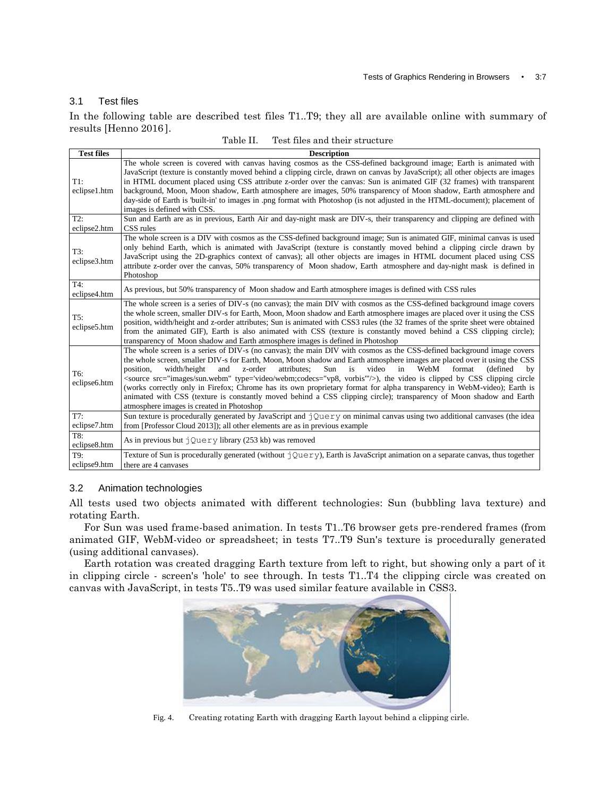## 3.1 Test files

In the following table are described test files T1..T9; they all are available online with summary of results [Henno 2016].

| <b>Test files</b>      | <b>Description</b>                                                                                                                                                                                                                                                                                                                                                                                                                                                                                                                                                                                                                                                                                                                                                                                       |
|------------------------|----------------------------------------------------------------------------------------------------------------------------------------------------------------------------------------------------------------------------------------------------------------------------------------------------------------------------------------------------------------------------------------------------------------------------------------------------------------------------------------------------------------------------------------------------------------------------------------------------------------------------------------------------------------------------------------------------------------------------------------------------------------------------------------------------------|
| $T1$ :<br>eclipse1.htm | The whole screen is covered with canvas having cosmos as the CSS-defined background image; Earth is animated with<br>JavaScript (texture is constantly moved behind a clipping circle, drawn on canvas by JavaScript); all other objects are images<br>in HTML document placed using CSS attribute z-order over the canvas: Sun is animated GIF (32 frames) with transparent<br>background, Moon, Moon shadow, Earth atmosphere are images, 50% transparency of Moon shadow, Earth atmosphere and<br>day-side of Earth is 'built-in' to images in .png format with Photoshop (is not adjusted in the HTML-document); placement of<br>images is defined with CSS.                                                                                                                                         |
| T2:<br>eclipse2.htm    | Sun and Earth are as in previous, Earth Air and day-night mask are DIV-s, their transparency and clipping are defined with<br>CSS rules                                                                                                                                                                                                                                                                                                                                                                                                                                                                                                                                                                                                                                                                  |
| T3:<br>eclipse3.htm    | The whole screen is a DIV with cosmos as the CSS-defined background image; Sun is animated GIF, minimal canvas is used<br>only behind Earth, which is animated with JavaScript (texture is constantly moved behind a clipping circle drawn by<br>JavaScript using the 2D-graphics context of canvas); all other objects are images in HTML document placed using CSS<br>attribute z-order over the canvas, 50% transparency of Moon shadow, Earth atmosphere and day-night mask is defined in<br>Photoshop                                                                                                                                                                                                                                                                                               |
| T4:<br>eclipse4.htm    | As previous, but 50% transparency of Moon shadow and Earth atmosphere images is defined with CSS rules                                                                                                                                                                                                                                                                                                                                                                                                                                                                                                                                                                                                                                                                                                   |
| T5:<br>eclipse5.htm    | The whole screen is a series of DIV-s (no canvas); the main DIV with cosmos as the CSS-defined background image covers<br>the whole screen, smaller DIV-s for Earth, Moon, Moon shadow and Earth atmosphere images are placed over it using the CSS<br>position, width/height and z-order attributes; Sun is animated with CSS3 rules (the 32 frames of the sprite sheet were obtained<br>from the animated GIF), Earth is also animated with CSS (texture is constantly moved behind a CSS clipping circle);<br>transparency of Moon shadow and Earth atmosphere images is defined in Photoshop                                                                                                                                                                                                         |
| T6:<br>eclipse6.htm    | The whole screen is a series of DIV-s (no canvas); the main DIV with cosmos as the CSS-defined background image covers<br>the whole screen, smaller DIV-s for Earth, Moon, Moon shadow and Earth atmosphere images are placed over it using the CSS<br>z-order<br>attributes:<br>Sun<br>is<br>video<br>in<br>WebM<br>format<br>position.<br>width/height<br>and<br>(defined)<br>by<br><source src="images/sun.webm" type='video/webm;codecs="vp8, vorbis"/>), the video is clipped by CSS clipping circle<br>(works correctly only in Firefox; Chrome has its own proprietary format for alpha transparency in WebM-video); Earth is<br>animated with CSS (texture is constantly moved behind a CSS clipping circle); transparency of Moon shadow and Earth<br>atmosphere images is created in Photoshop |
| T7:                    | Sun texture is procedurally generated by JavaScript and $\dot{\theta}$ $\dot{\theta}$ on minimal canvas using two additional canvases (the idea                                                                                                                                                                                                                                                                                                                                                                                                                                                                                                                                                                                                                                                          |
| eclipse7.htm           | from [Professor Cloud 2013]); all other elements are as in previous example                                                                                                                                                                                                                                                                                                                                                                                                                                                                                                                                                                                                                                                                                                                              |
| T8:<br>eclipse8.htm    | As in previous but $\exists$ Query library (253 kb) was removed                                                                                                                                                                                                                                                                                                                                                                                                                                                                                                                                                                                                                                                                                                                                          |
| T9:                    | Texture of Sun is procedurally generated (without $\exists Q \cup \exists Y$ ), Earth is JavaScript animation on a separate canvas, thus together                                                                                                                                                                                                                                                                                                                                                                                                                                                                                                                                                                                                                                                        |
| eclipse9.htm           | there are 4 canvases                                                                                                                                                                                                                                                                                                                                                                                                                                                                                                                                                                                                                                                                                                                                                                                     |

## 3.2 Animation technologies

All tests used two objects animated with different technologies: Sun (bubbling lava texture) and rotating Earth.

For Sun was used frame-based animation. In tests T1..T6 browser gets pre-rendered frames (from animated GIF, WebM-video or spreadsheet; in tests T7..T9 Sun's texture is procedurally generated (using additional canvases).

Earth rotation was created dragging Earth texture from left to right, but showing only a part of it in clipping circle - screen's 'hole' to see through. In tests T1..T4 the clipping circle was created on canvas with JavaScript, in tests T5..T9 was used similar feature available in CSS3.



Fig. 4. Creating rotating Earth with dragging Earth layout behind a clipping cirle.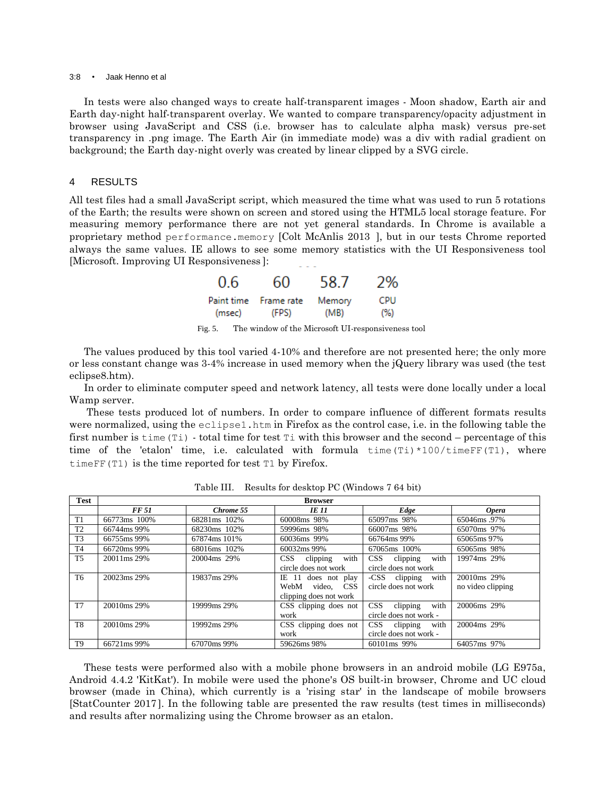#### 3:8 • Jaak Henno et al

In tests were also changed ways to create half-transparent images - Moon shadow, Earth air and Earth day-night half-transparent overlay. We wanted to compare transparency/opacity adjustment in browser using JavaScript and CSS (i.e. browser has to calculate alpha mask) versus pre-set transparency in .png image. The Earth Air (in immediate mode) was a div with radial gradient on background; the Earth day-night overly was created by linear clipped by a SVG circle.

## 4 RESULTS

All test files had a small JavaScript script, which measured the time what was used to run 5 rotations of the Earth; the results were shown on screen and stored using the HTML5 local storage feature. For measuring memory performance there are not yet general standards. In Chrome is available a proprietary method performance.memory [Colt McAnlis 2013 ], but in our tests Chrome reported always the same values. IE allows to see some memory statistics with the UI Responsiveness tool [Microsoft. Improving UI Responsiveness]:

| 0.6    | 60                    | 58.7   | 2%  |
|--------|-----------------------|--------|-----|
| (msec) | Paint time Frame rate | Memory | CPU |
|        | (FPS)                 | (MB)   | (%) |

Fig. 5. The window of the Microsoft UI-responsiveness tool

The values produced by this tool varied 4-10% and therefore are not presented here; the only more or less constant change was 3-4% increase in used memory when the jQuery library was used (the test eclipse8.htm).

In order to eliminate computer speed and network latency, all tests were done locally under a local Wamp server.

These tests produced lot of numbers. In order to compare influence of different formats results were normalized, using the eclipse1.htm in Firefox as the control case, i.e. in the following table the first number is time  $(T_i)$  - total time for test  $T_i$  with this browser and the second – percentage of this time of the 'etalon' time, i.e. calculated with formula time(Ti) \*100/timeFF(T1), where timeFF(T1) is the time reported for test T1 by Firefox.

| <b>Test</b>    | <b>Browser</b> |              |                        |                                    |                   |
|----------------|----------------|--------------|------------------------|------------------------------------|-------------------|
|                | <b>FF 51</b>   | Chrome 55    | <b>IE 11</b>           | Edge                               | <b>Opera</b>      |
| T1             | 66773ms 100%   | 68281ms 102% | 60008ms 98%            | 65097ms 98%                        | 65046ms.97%       |
| T <sub>2</sub> | 66744ms 99%    | 68230ms 102% | 59996ms 98%            | 66007ms 98%                        | 65070ms 97%       |
| T <sub>3</sub> | 66755ms 99%    | 67874ms 101% | 60036ms 99%            | 66764ms 99%                        | 65065ms 97%       |
| T <sub>4</sub> | 66720ms 99%    | 68016ms 102% | 60032ms 99%            | 67065ms 100%                       | 65065ms 98%       |
| T <sub>5</sub> | 20011ms 29%    | 20004ms 29%  | $CSS$ clipping<br>with | with<br>$CSS$ clipping             | 19974ms 29%       |
|                |                |              | circle does not work   | circle does not work               |                   |
| T <sub>6</sub> | 20023ms 29%    | 19837ms 29%  | IE 11 does not play    | -CSS clipping with                 | 20010ms 29%       |
|                |                |              | video, CSS<br>WebM     | circle does not work               | no video clipping |
|                |                |              | clipping does not work |                                    |                   |
| T <sub>7</sub> | 20010ms 29%    | 19999ms 29%  | CSS clipping does not  | <b>CSS</b><br>clipping<br>with     | 20006ms 29%       |
|                |                |              | work                   | circle does not work -             |                   |
| T <sub>8</sub> | 20010ms 29%    | 19992ms 29%  | CSS clipping does not  | with<br>$\mathbf{CSS}$<br>clipping | 20004ms 29%       |
|                |                |              | work                   | circle does not work -             |                   |
| T <sub>9</sub> | 66721ms 99%    | 67070ms 99%  | 59626ms 98%            | 60101ms 99%                        | 64057ms 97%       |

Table III. Results for desktop PC (Windows 7 64 bit)

These tests were performed also with a mobile phone browsers in an android mobile (LG E975a, Android 4.4.2 'KitKat'). In mobile were used the phone's OS built-in browser, Chrome and UC cloud browser (made in China), which currently is a 'rising star' in the landscape of mobile browsers [StatCounter 2017]. In the following table are presented the raw results (test times in milliseconds) and results after normalizing using the Chrome browser as an etalon.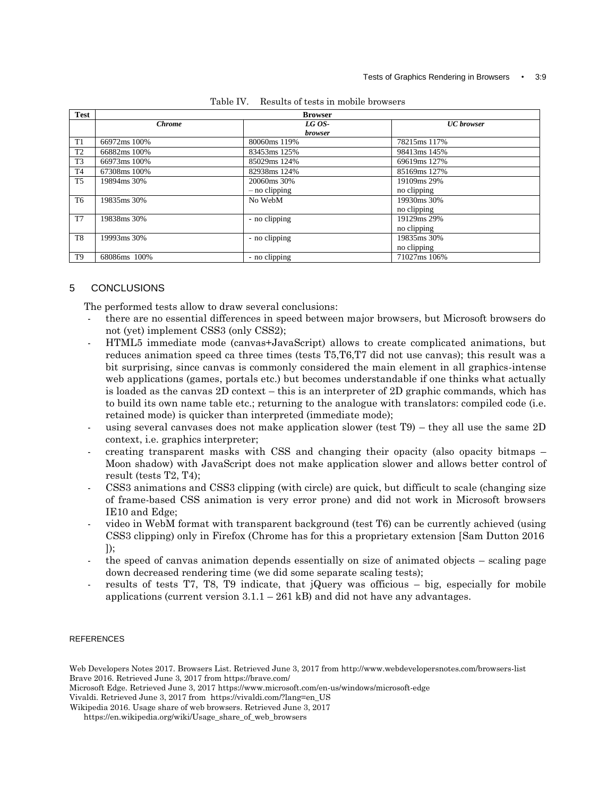| <b>Test</b>    | <b>Browser</b> |                          |                   |  |
|----------------|----------------|--------------------------|-------------------|--|
|                | <b>Chrome</b>  | LG OS-<br><b>browser</b> | <b>UC</b> browser |  |
| T1             | 66972ms 100%   | 80060ms 119%             | 78215ms 117%      |  |
| T2             | 66882ms 100%   | 83453ms 125%             | 98413ms 145%      |  |
| T <sub>3</sub> | 66973ms 100%   | 85029ms 124%             | 69619ms 127%      |  |
| <b>T4</b>      | 67308ms 100%   | 82938ms 124%             | 85169ms 127%      |  |
| T <sub>5</sub> | 19894ms 30%    | 20060ms 30%              | 19109ms 29%       |  |
|                |                | $-$ no clipping          | no clipping       |  |
| T <sub>6</sub> | 19835ms 30%    | No WebM                  | 19930ms 30%       |  |
|                |                |                          | no clipping       |  |
| T7             | 19838ms 30%    | - no clipping            | 19129ms 29%       |  |
|                |                |                          | no clipping       |  |
| T8             | 19993ms 30%    | - no clipping            | 19835ms 30%       |  |
|                |                |                          | no clipping       |  |
| T <sub>9</sub> | 68086ms 100%   | - no clipping            | 71027ms 106%      |  |

| Results of tests in mobile browsers | Table IV. |  |  |  |  |
|-------------------------------------|-----------|--|--|--|--|
|-------------------------------------|-----------|--|--|--|--|

# 5 CONCLUSIONS

The performed tests allow to draw several conclusions:

- there are no essential differences in speed between major browsers, but Microsoft browsers do not (yet) implement CSS3 (only CSS2);
- HTML5 immediate mode (canvas+JavaScript) allows to create complicated animations, but reduces animation speed ca three times (tests T5,T6,T7 did not use canvas); this result was a bit surprising, since canvas is commonly considered the main element in all graphics-intense web applications (games, portals etc.) but becomes understandable if one thinks what actually is loaded as the canvas 2D context – this is an interpreter of 2D graphic commands, which has to build its own name table etc.; returning to the analogue with translators: compiled code (i.e. retained mode) is quicker than interpreted (immediate mode);
- using several canvases does not make application slower (test  $T9$ ) they all use the same 2D context, i.e. graphics interpreter;
- creating transparent masks with CSS and changing their opacity (also opacity bitmaps Moon shadow) with JavaScript does not make application slower and allows better control of result (tests T2, T4);
- CSS3 animations and CSS3 clipping (with circle) are quick, but difficult to scale (changing size of frame-based CSS animation is very error prone) and did not work in Microsoft browsers IE10 and Edge;
- video in WebM format with transparent background (test T6) can be currently achieved (using  $\text{CSS3 clipping}$  only in Firefox (Chrome has for this a proprietary extension [Sam Dutton 2016  $\vert$ ):
- the speed of canvas animation depends essentially on size of animated objects scaling page down decreased rendering time (we did some separate scaling tests);
- results of tests T7, T8, T9 indicate, that jQuery was officious  $-$  big, especially for mobile applications (current version  $3.1.1 - 261$  kB) and did not have any advantages.

## **REFERENCES**

Web Developers Notes 2017. Browsers List. Retrieved June 3, 2017 from http://www.webdevelopersnotes.com/browsers-list Brave 2016. Retrieved June 3, 2017 from https://brave.com/

Microsoft Edge. Retrieved June 3, 2017 https://www.microsoft.com/en-us/windows/microsoft-edge

Vivaldi. Retrieved June 3, 2017 from https://vivaldi.com/?lang=en\_US

Wikipedia 2016. Usage share of web browsers. Retrieved June 3, 2017

https://en.wikipedia.org/wiki/Usage\_share\_of\_web\_browsers